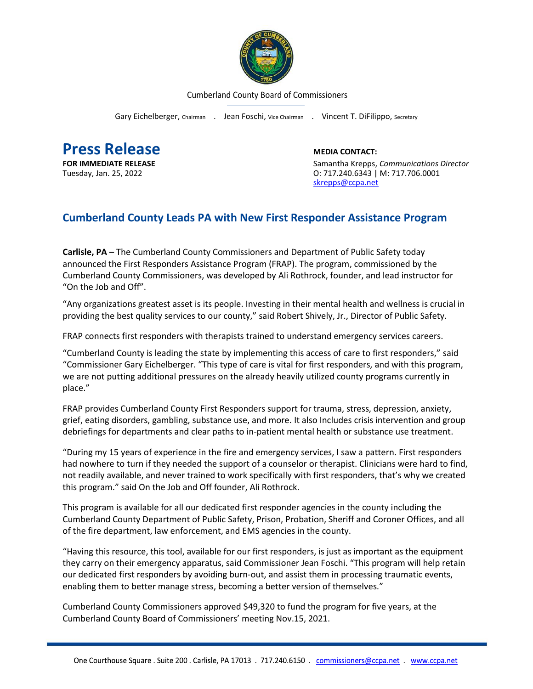

Cumberland County Board of Commissioners

Gary Eichelberger, Chairman . Jean Foschi, Vice Chairman . Vincent T. DiFilippo, Secretary

**Press Release**<br> **Press Release**<br> **EDIA CONTACT:**<br>
Samantha Krepps.

**FOR IMMEDIATE RELEASE** Samantha Krepps, *Communications Director* Tuesday, Jan. 25, 2022 O: 717.240.6343 | M: 717.706.0001 [skrepps@ccpa.net](mailto:skrepps@ccpa.net)

## **Cumberland County Leads PA with New First Responder Assistance Program**

**Carlisle, PA –** The Cumberland County Commissioners and Department of Public Safety today announced the First Responders Assistance Program (FRAP). The program, commissioned by the Cumberland County Commissioners, was developed by Ali Rothrock, founder, and lead instructor for "On the Job and Off".

"Any organizations greatest asset is its people. Investing in their mental health and wellness is crucial in providing the best quality services to our county," said Robert Shively, Jr., Director of Public Safety.

FRAP connects first responders with therapists trained to understand emergency services careers.

"Cumberland County is leading the state by implementing this access of care to first responders," said "Commissioner Gary Eichelberger. "This type of care is vital for first responders, and with this program, we are not putting additional pressures on the already heavily utilized county programs currently in place."

FRAP provides Cumberland County First Responders support for trauma, stress, depression, anxiety, grief, eating disorders, gambling, substance use, and more. It also Includes crisis intervention and group debriefings for departments and clear paths to in-patient mental health or substance use treatment.

"During my 15 years of experience in the fire and emergency services, I saw a pattern. First responders had nowhere to turn if they needed the support of a counselor or therapist. Clinicians were hard to find, not readily available, and never trained to work specifically with first responders, that's why we created this program." said On the Job and Off founder, Ali Rothrock.

This program is available for all our dedicated first responder agencies in the county including the Cumberland County Department of Public Safety, Prison, Probation, Sheriff and Coroner Offices, and all of the fire department, law enforcement, and EMS agencies in the county.

"Having this resource, this tool, available for our first responders, is just as important as the equipment they carry on their emergency apparatus, said Commissioner Jean Foschi. "This program will help retain our dedicated first responders by avoiding burn-out, and assist them in processing traumatic events, enabling them to better manage stress, becoming a better version of themselves."

Cumberland County Commissioners approved \$49,320 to fund the program for five years, at the Cumberland County Board of Commissioners' meeting Nov.15, 2021.